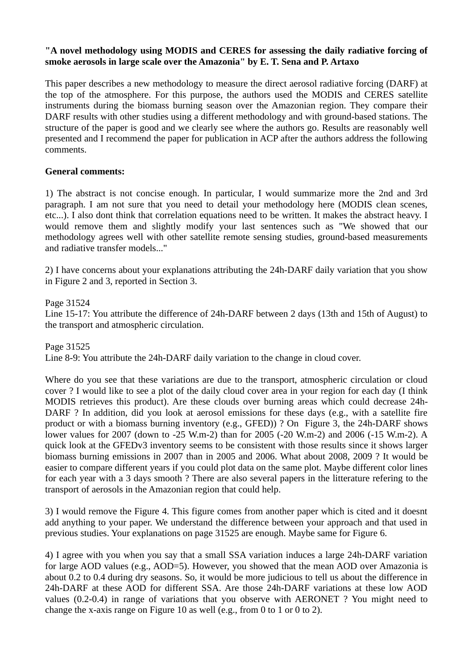## **"A novel methodology using MODIS and CERES for assessing the daily radiative forcing of smoke aerosols in large scale over the Amazonia" by E. T. Sena and P. Artaxo**

This paper describes a new methodology to measure the direct aerosol radiative forcing (DARF) at the top of the atmosphere. For this purpose, the authors used the MODIS and CERES satellite instruments during the biomass burning season over the Amazonian region. They compare their DARF results with other studies using a different methodology and with ground-based stations. The structure of the paper is good and we clearly see where the authors go. Results are reasonably well presented and I recommend the paper for publication in ACP after the authors address the following comments.

## **General comments:**

1) The abstract is not concise enough. In particular, I would summarize more the 2nd and 3rd paragraph. I am not sure that you need to detail your methodology here (MODIS clean scenes, etc...). I also dont think that correlation equations need to be written. It makes the abstract heavy. I would remove them and slightly modify your last sentences such as "We showed that our methodology agrees well with other satellite remote sensing studies, ground-based measurements and radiative transfer models..."

2) I have concerns about your explanations attributing the 24h-DARF daily variation that you show in Figure 2 and 3, reported in Section 3.

Page 31524 Line 15-17: You attribute the difference of 24h-DARF between 2 days (13th and 15th of August) to the transport and atmospheric circulation.

Page 31525 Line 8-9: You attribute the 24h-DARF daily variation to the change in cloud cover.

Where do you see that these variations are due to the transport, atmospheric circulation or cloud cover ? I would like to see a plot of the daily cloud cover area in your region for each day (I think MODIS retrieves this product). Are these clouds over burning areas which could decrease 24h-DARF ? In addition, did you look at aerosol emissions for these days (e.g., with a satellite fire product or with a biomass burning inventory (e.g., GFED)) ? On Figure 3, the 24h-DARF shows lower values for 2007 (down to -25 W.m-2) than for 2005 (-20 W.m-2) and 2006 (-15 W.m-2). A quick look at the GFEDv3 inventory seems to be consistent with those results since it shows larger biomass burning emissions in 2007 than in 2005 and 2006. What about 2008, 2009 ? It would be easier to compare different years if you could plot data on the same plot. Maybe different color lines for each year with a 3 days smooth ? There are also several papers in the litterature refering to the transport of aerosols in the Amazonian region that could help.

3) I would remove the Figure 4. This figure comes from another paper which is cited and it doesnt add anything to your paper. We understand the difference between your approach and that used in previous studies. Your explanations on page 31525 are enough. Maybe same for Figure 6.

4) I agree with you when you say that a small SSA variation induces a large 24h-DARF variation for large AOD values (e.g., AOD=5). However, you showed that the mean AOD over Amazonia is about 0.2 to 0.4 during dry seasons. So, it would be more judicious to tell us about the difference in 24h-DARF at these AOD for different SSA. Are those 24h-DARF variations at these low AOD values (0.2-0.4) in range of variations that you observe with AERONET ? You might need to change the x-axis range on Figure 10 as well (e.g., from 0 to 1 or 0 to 2).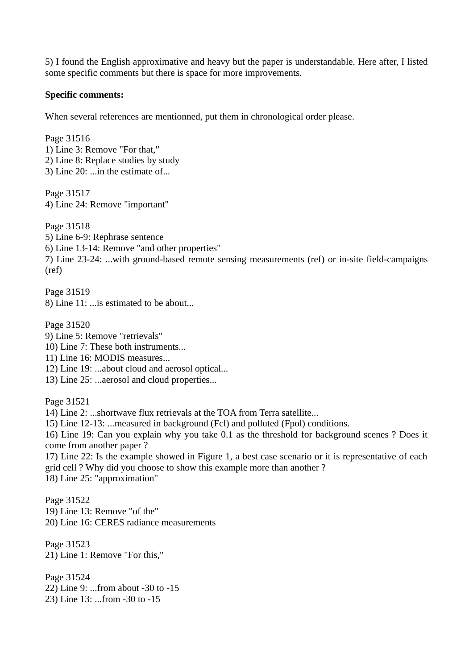5) I found the English approximative and heavy but the paper is understandable. Here after, I listed some specific comments but there is space for more improvements.

## **Specific comments:**

When several references are mentionned, put them in chronological order please.

Page 31516 1) Line 3: Remove "For that," 2) Line 8: Replace studies by study 3) Line 20: ...in the estimate of...

Page 31517 4) Line 24: Remove "important"

Page 31518 5) Line 6-9: Rephrase sentence 6) Line 13-14: Remove "and other properties" 7) Line 23-24: ...with ground-based remote sensing measurements (ref) or in-site field-campaigns (ref)

Page 31519 8) Line 11: ...is estimated to be about...

Page 31520 9) Line 5: Remove "retrievals"

- 10) Line 7: These both instruments...
- 11) Line 16: MODIS measures...
- 12) Line 19: ...about cloud and aerosol optical...
- 13) Line 25: ...aerosol and cloud properties...

Page 31521

14) Line 2: ...shortwave flux retrievals at the TOA from Terra satellite...

15) Line 12-13: ...measured in background (Fcl) and polluted (Fpol) conditions.

16) Line 19: Can you explain why you take 0.1 as the threshold for background scenes ? Does it come from another paper ?

17) Line 22: Is the example showed in Figure 1, a best case scenario or it is representative of each grid cell ? Why did you choose to show this example more than another ? 18) Line 25: "approximation"

Page 31522 19) Line 13: Remove "of the" 20) Line 16: CERES radiance measurements

Page 31523 21) Line 1: Remove "For this,"

Page 31524 22) Line 9: ...from about -30 to -15 23) Line 13: ...from -30 to -15